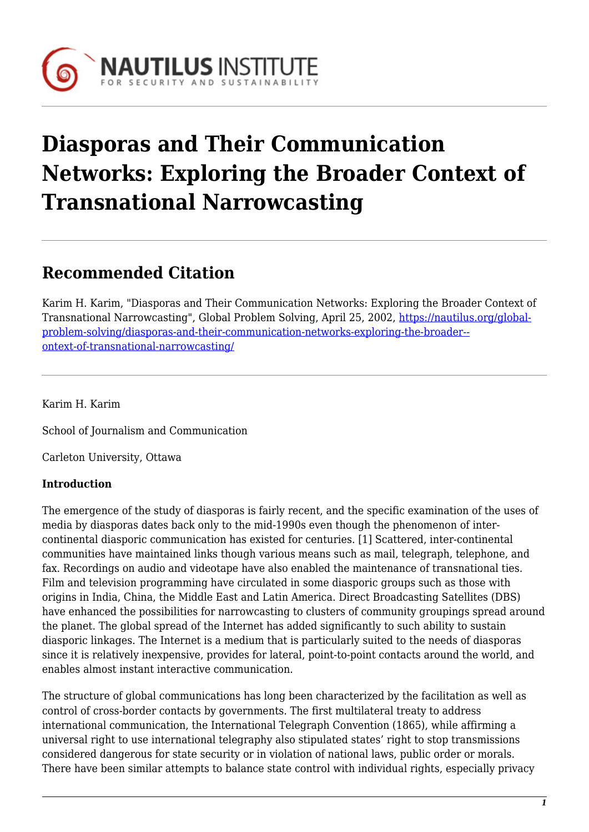

# **Diasporas and Their Communication Networks: Exploring the Broader Context of Transnational Narrowcasting**

## **Recommended Citation**

Karim H. Karim, "Diasporas and Their Communication Networks: Exploring the Broader Context of Transnational Narrowcasting", Global Problem Solving, April 25, 2002, [https://nautilus.org/global](https://nautilus.org/global-problem-solving/diasporas-and-their-communication-networks-exploring-the-broader-context-of-transnational-narrowcasting/)[problem-solving/diasporas-and-their-communication-networks-exploring-the-broader-](https://nautilus.org/global-problem-solving/diasporas-and-their-communication-networks-exploring-the-broader-context-of-transnational-narrowcasting/) [ontext-of-transnational-narrowcasting/](https://nautilus.org/global-problem-solving/diasporas-and-their-communication-networks-exploring-the-broader-context-of-transnational-narrowcasting/)

Karim H. Karim

School of Journalism and Communication

Carleton University, Ottawa

#### **Introduction**

The emergence of the study of diasporas is fairly recent, and the specific examination of the uses of media by diasporas dates back only to the mid-1990s even though the phenomenon of intercontinental diasporic communication has existed for centuries. [1] Scattered, inter-continental communities have maintained links though various means such as mail, telegraph, telephone, and fax. Recordings on audio and videotape have also enabled the maintenance of transnational ties. Film and television programming have circulated in some diasporic groups such as those with origins in India, China, the Middle East and Latin America. Direct Broadcasting Satellites (DBS) have enhanced the possibilities for narrowcasting to clusters of community groupings spread around the planet. The global spread of the Internet has added significantly to such ability to sustain diasporic linkages. The Internet is a medium that is particularly suited to the needs of diasporas since it is relatively inexpensive, provides for lateral, point-to-point contacts around the world, and enables almost instant interactive communication.

The structure of global communications has long been characterized by the facilitation as well as control of cross-border contacts by governments. The first multilateral treaty to address international communication, the International Telegraph Convention (1865), while affirming a universal right to use international telegraphy also stipulated states' right to stop transmissions considered dangerous for state security or in violation of national laws, public order or morals. There have been similar attempts to balance state control with individual rights, especially privacy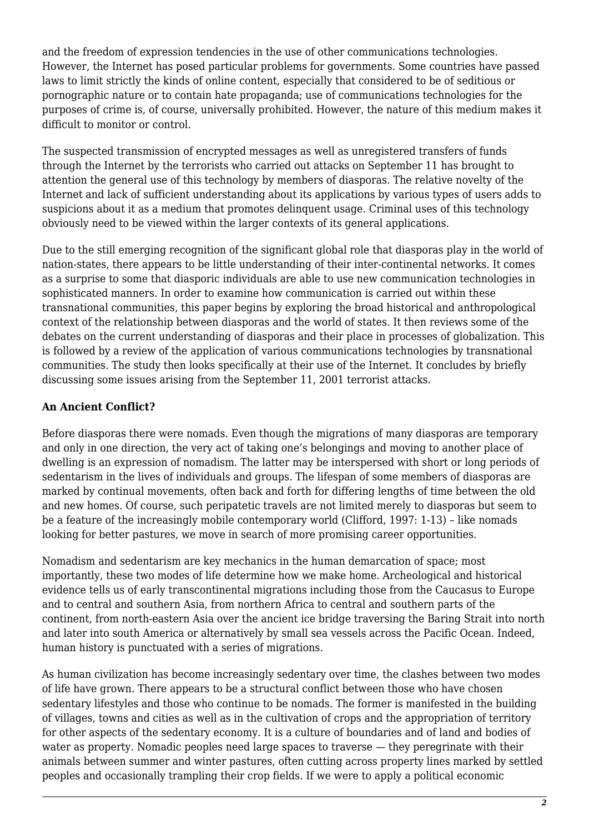and the freedom of expression tendencies in the use of other communications technologies. However, the Internet has posed particular problems for governments. Some countries have passed laws to limit strictly the kinds of online content, especially that considered to be of seditious or pornographic nature or to contain hate propaganda; use of communications technologies for the purposes of crime is, of course, universally prohibited. However, the nature of this medium makes it difficult to monitor or control.

The suspected transmission of encrypted messages as well as unregistered transfers of funds through the Internet by the terrorists who carried out attacks on September 11 has brought to attention the general use of this technology by members of diasporas. The relative novelty of the Internet and lack of sufficient understanding about its applications by various types of users adds to suspicions about it as a medium that promotes delinquent usage. Criminal uses of this technology obviously need to be viewed within the larger contexts of its general applications.

Due to the still emerging recognition of the significant global role that diasporas play in the world of nation-states, there appears to be little understanding of their inter-continental networks. It comes as a surprise to some that diasporic individuals are able to use new communication technologies in sophisticated manners. In order to examine how communication is carried out within these transnational communities, this paper begins by exploring the broad historical and anthropological context of the relationship between diasporas and the world of states. It then reviews some of the debates on the current understanding of diasporas and their place in processes of globalization. This is followed by a review of the application of various communications technologies by transnational communities. The study then looks specifically at their use of the Internet. It concludes by briefly discussing some issues arising from the September 11, 2001 terrorist attacks.

### **An Ancient Conflict?**

Before diasporas there were nomads. Even though the migrations of many diasporas are temporary and only in one direction, the very act of taking one's belongings and moving to another place of dwelling is an expression of nomadism. The latter may be interspersed with short or long periods of sedentarism in the lives of individuals and groups. The lifespan of some members of diasporas are marked by continual movements, often back and forth for differing lengths of time between the old and new homes. Of course, such peripatetic travels are not limited merely to diasporas but seem to be a feature of the increasingly mobile contemporary world (Clifford, 1997: 1-13) – like nomads looking for better pastures, we move in search of more promising career opportunities.

Nomadism and sedentarism are key mechanics in the human demarcation of space; most importantly, these two modes of life determine how we make home. Archeological and historical evidence tells us of early transcontinental migrations including those from the Caucasus to Europe and to central and southern Asia, from northern Africa to central and southern parts of the continent, from north-eastern Asia over the ancient ice bridge traversing the Baring Strait into north and later into south America or alternatively by small sea vessels across the Pacific Ocean. Indeed, human history is punctuated with a series of migrations.

As human civilization has become increasingly sedentary over time, the clashes between two modes of life have grown. There appears to be a structural conflict between those who have chosen sedentary lifestyles and those who continue to be nomads. The former is manifested in the building of villages, towns and cities as well as in the cultivation of crops and the appropriation of territory for other aspects of the sedentary economy. It is a culture of boundaries and of land and bodies of water as property. Nomadic peoples need large spaces to traverse — they peregrinate with their animals between summer and winter pastures, often cutting across property lines marked by settled peoples and occasionally trampling their crop fields. If we were to apply a political economic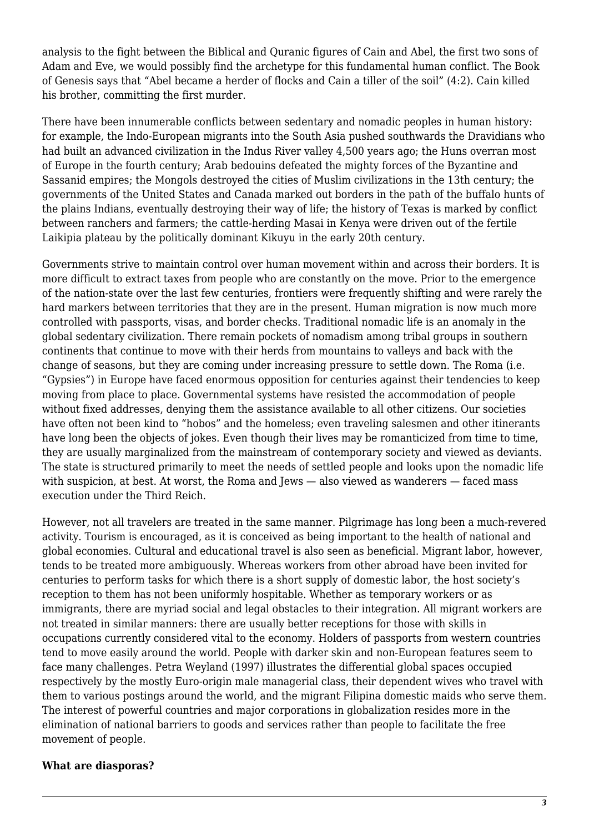analysis to the fight between the Biblical and Quranic figures of Cain and Abel, the first two sons of Adam and Eve, we would possibly find the archetype for this fundamental human conflict. The Book of Genesis says that "Abel became a herder of flocks and Cain a tiller of the soil" (4:2). Cain killed his brother, committing the first murder.

There have been innumerable conflicts between sedentary and nomadic peoples in human history: for example, the Indo-European migrants into the South Asia pushed southwards the Dravidians who had built an advanced civilization in the Indus River valley 4,500 years ago; the Huns overran most of Europe in the fourth century; Arab bedouins defeated the mighty forces of the Byzantine and Sassanid empires; the Mongols destroyed the cities of Muslim civilizations in the 13th century; the governments of the United States and Canada marked out borders in the path of the buffalo hunts of the plains Indians, eventually destroying their way of life; the history of Texas is marked by conflict between ranchers and farmers; the cattle-herding Masai in Kenya were driven out of the fertile Laikipia plateau by the politically dominant Kikuyu in the early 20th century.

Governments strive to maintain control over human movement within and across their borders. It is more difficult to extract taxes from people who are constantly on the move. Prior to the emergence of the nation-state over the last few centuries, frontiers were frequently shifting and were rarely the hard markers between territories that they are in the present. Human migration is now much more controlled with passports, visas, and border checks. Traditional nomadic life is an anomaly in the global sedentary civilization. There remain pockets of nomadism among tribal groups in southern continents that continue to move with their herds from mountains to valleys and back with the change of seasons, but they are coming under increasing pressure to settle down. The Roma (i.e. "Gypsies") in Europe have faced enormous opposition for centuries against their tendencies to keep moving from place to place. Governmental systems have resisted the accommodation of people without fixed addresses, denying them the assistance available to all other citizens. Our societies have often not been kind to "hobos" and the homeless; even traveling salesmen and other itinerants have long been the objects of jokes. Even though their lives may be romanticized from time to time, they are usually marginalized from the mainstream of contemporary society and viewed as deviants. The state is structured primarily to meet the needs of settled people and looks upon the nomadic life with suspicion, at best. At worst, the Roma and Jews — also viewed as wanderers — faced mass execution under the Third Reich.

However, not all travelers are treated in the same manner. Pilgrimage has long been a much-revered activity. Tourism is encouraged, as it is conceived as being important to the health of national and global economies. Cultural and educational travel is also seen as beneficial. Migrant labor, however, tends to be treated more ambiguously. Whereas workers from other abroad have been invited for centuries to perform tasks for which there is a short supply of domestic labor, the host society's reception to them has not been uniformly hospitable. Whether as temporary workers or as immigrants, there are myriad social and legal obstacles to their integration. All migrant workers are not treated in similar manners: there are usually better receptions for those with skills in occupations currently considered vital to the economy. Holders of passports from western countries tend to move easily around the world. People with darker skin and non-European features seem to face many challenges. Petra Weyland (1997) illustrates the differential global spaces occupied respectively by the mostly Euro-origin male managerial class, their dependent wives who travel with them to various postings around the world, and the migrant Filipina domestic maids who serve them. The interest of powerful countries and major corporations in globalization resides more in the elimination of national barriers to goods and services rather than people to facilitate the free movement of people.

#### **What are diasporas?**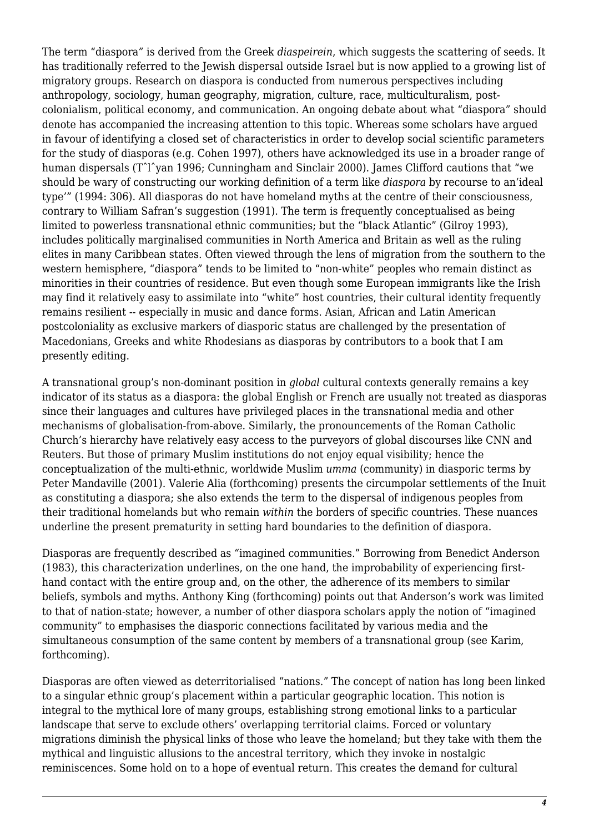The term "diaspora" is derived from the Greek *diaspeirein*, which suggests the scattering of seeds. It has traditionally referred to the Jewish dispersal outside Israel but is now applied to a growing list of migratory groups. Research on diaspora is conducted from numerous perspectives including anthropology, sociology, human geography, migration, culture, race, multiculturalism, postcolonialism, political economy, and communication. An ongoing debate about what "diaspora" should denote has accompanied the increasing attention to this topic. Whereas some scholars have argued in favour of identifying a closed set of characteristics in order to develop social scientific parameters for the study of diasporas (e.g. Cohen 1997), others have acknowledged its use in a broader range of human dispersals (Tˆlˆyan 1996; Cunningham and Sinclair 2000). James Clifford cautions that "we should be wary of constructing our working definition of a term like *diaspora* by recourse to an'ideal type'" (1994: 306). All diasporas do not have homeland myths at the centre of their consciousness, contrary to William Safran's suggestion (1991). The term is frequently conceptualised as being limited to powerless transnational ethnic communities; but the "black Atlantic" (Gilroy 1993), includes politically marginalised communities in North America and Britain as well as the ruling elites in many Caribbean states. Often viewed through the lens of migration from the southern to the western hemisphere, "diaspora" tends to be limited to "non-white" peoples who remain distinct as minorities in their countries of residence. But even though some European immigrants like the Irish may find it relatively easy to assimilate into "white" host countries, their cultural identity frequently remains resilient -- especially in music and dance forms. Asian, African and Latin American postcoloniality as exclusive markers of diasporic status are challenged by the presentation of Macedonians, Greeks and white Rhodesians as diasporas by contributors to a book that I am presently editing.

A transnational group's non-dominant position in *global* cultural contexts generally remains a key indicator of its status as a diaspora: the global English or French are usually not treated as diasporas since their languages and cultures have privileged places in the transnational media and other mechanisms of globalisation-from-above. Similarly, the pronouncements of the Roman Catholic Church's hierarchy have relatively easy access to the purveyors of global discourses like CNN and Reuters. But those of primary Muslim institutions do not enjoy equal visibility; hence the conceptualization of the multi-ethnic, worldwide Muslim *umma* (community) in diasporic terms by Peter Mandaville (2001). Valerie Alia (forthcoming) presents the circumpolar settlements of the Inuit as constituting a diaspora; she also extends the term to the dispersal of indigenous peoples from their traditional homelands but who remain *within* the borders of specific countries. These nuances underline the present prematurity in setting hard boundaries to the definition of diaspora.

Diasporas are frequently described as "imagined communities." Borrowing from Benedict Anderson (1983), this characterization underlines, on the one hand, the improbability of experiencing firsthand contact with the entire group and, on the other, the adherence of its members to similar beliefs, symbols and myths. Anthony King (forthcoming) points out that Anderson's work was limited to that of nation-state; however, a number of other diaspora scholars apply the notion of "imagined community" to emphasises the diasporic connections facilitated by various media and the simultaneous consumption of the same content by members of a transnational group (see Karim, forthcoming).

Diasporas are often viewed as deterritorialised "nations." The concept of nation has long been linked to a singular ethnic group's placement within a particular geographic location. This notion is integral to the mythical lore of many groups, establishing strong emotional links to a particular landscape that serve to exclude others' overlapping territorial claims. Forced or voluntary migrations diminish the physical links of those who leave the homeland; but they take with them the mythical and linguistic allusions to the ancestral territory, which they invoke in nostalgic reminiscences. Some hold on to a hope of eventual return. This creates the demand for cultural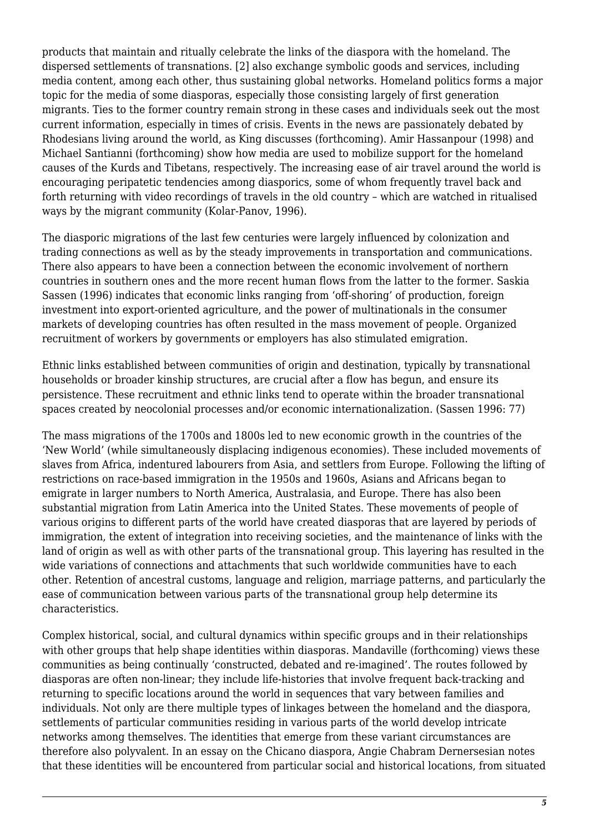products that maintain and ritually celebrate the links of the diaspora with the homeland. The dispersed settlements of transnations. [2] also exchange symbolic goods and services, including media content, among each other, thus sustaining global networks. Homeland politics forms a major topic for the media of some diasporas, especially those consisting largely of first generation migrants. Ties to the former country remain strong in these cases and individuals seek out the most current information, especially in times of crisis. Events in the news are passionately debated by Rhodesians living around the world, as King discusses (forthcoming). Amir Hassanpour (1998) and Michael Santianni (forthcoming) show how media are used to mobilize support for the homeland causes of the Kurds and Tibetans, respectively. The increasing ease of air travel around the world is encouraging peripatetic tendencies among diasporics, some of whom frequently travel back and forth returning with video recordings of travels in the old country – which are watched in ritualised ways by the migrant community (Kolar-Panov, 1996).

The diasporic migrations of the last few centuries were largely influenced by colonization and trading connections as well as by the steady improvements in transportation and communications. There also appears to have been a connection between the economic involvement of northern countries in southern ones and the more recent human flows from the latter to the former. Saskia Sassen (1996) indicates that economic links ranging from 'off-shoring' of production, foreign investment into export-oriented agriculture, and the power of multinationals in the consumer markets of developing countries has often resulted in the mass movement of people. Organized recruitment of workers by governments or employers has also stimulated emigration.

Ethnic links established between communities of origin and destination, typically by transnational households or broader kinship structures, are crucial after a flow has begun, and ensure its persistence. These recruitment and ethnic links tend to operate within the broader transnational spaces created by neocolonial processes and/or economic internationalization. (Sassen 1996: 77)

The mass migrations of the 1700s and 1800s led to new economic growth in the countries of the 'New World' (while simultaneously displacing indigenous economies). These included movements of slaves from Africa, indentured labourers from Asia, and settlers from Europe. Following the lifting of restrictions on race-based immigration in the 1950s and 1960s, Asians and Africans began to emigrate in larger numbers to North America, Australasia, and Europe. There has also been substantial migration from Latin America into the United States. These movements of people of various origins to different parts of the world have created diasporas that are layered by periods of immigration, the extent of integration into receiving societies, and the maintenance of links with the land of origin as well as with other parts of the transnational group. This layering has resulted in the wide variations of connections and attachments that such worldwide communities have to each other. Retention of ancestral customs, language and religion, marriage patterns, and particularly the ease of communication between various parts of the transnational group help determine its characteristics.

Complex historical, social, and cultural dynamics within specific groups and in their relationships with other groups that help shape identities within diasporas. Mandaville (forthcoming) views these communities as being continually 'constructed, debated and re-imagined'. The routes followed by diasporas are often non-linear; they include life-histories that involve frequent back-tracking and returning to specific locations around the world in sequences that vary between families and individuals. Not only are there multiple types of linkages between the homeland and the diaspora, settlements of particular communities residing in various parts of the world develop intricate networks among themselves. The identities that emerge from these variant circumstances are therefore also polyvalent. In an essay on the Chicano diaspora, Angie Chabram Dernersesian notes that these identities will be encountered from particular social and historical locations, from situated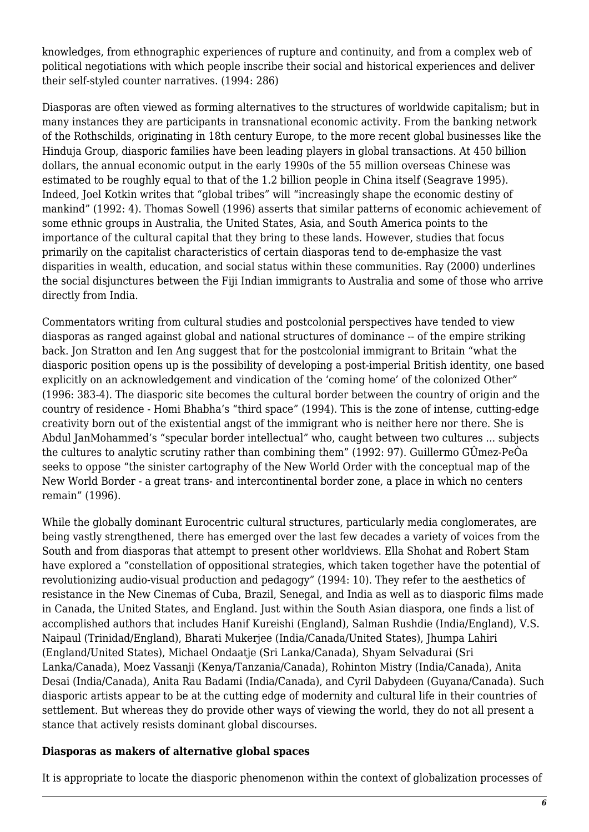knowledges, from ethnographic experiences of rupture and continuity, and from a complex web of political negotiations with which people inscribe their social and historical experiences and deliver their self-styled counter narratives. (1994: 286)

Diasporas are often viewed as forming alternatives to the structures of worldwide capitalism; but in many instances they are participants in transnational economic activity. From the banking network of the Rothschilds, originating in 18th century Europe, to the more recent global businesses like the Hinduja Group, diasporic families have been leading players in global transactions. At 450 billion dollars, the annual economic output in the early 1990s of the 55 million overseas Chinese was estimated to be roughly equal to that of the 1.2 billion people in China itself (Seagrave 1995). Indeed, Joel Kotkin writes that "global tribes" will "increasingly shape the economic destiny of mankind" (1992: 4). Thomas Sowell (1996) asserts that similar patterns of economic achievement of some ethnic groups in Australia, the United States, Asia, and South America points to the importance of the cultural capital that they bring to these lands. However, studies that focus primarily on the capitalist characteristics of certain diasporas tend to de-emphasize the vast disparities in wealth, education, and social status within these communities. Ray (2000) underlines the social disjunctures between the Fiji Indian immigrants to Australia and some of those who arrive directly from India.

Commentators writing from cultural studies and postcolonial perspectives have tended to view diasporas as ranged against global and national structures of dominance -- of the empire striking back. Jon Stratton and Ien Ang suggest that for the postcolonial immigrant to Britain "what the diasporic position opens up is the possibility of developing a post-imperial British identity, one based explicitly on an acknowledgement and vindication of the 'coming home' of the colonized Other" (1996: 383-4). The diasporic site becomes the cultural border between the country of origin and the country of residence - Homi Bhabha's "third space" (1994). This is the zone of intense, cutting-edge creativity born out of the existential angst of the immigrant who is neither here nor there. She is Abdul JanMohammed's "specular border intellectual" who, caught between two cultures ... subjects the cultures to analytic scrutiny rather than combining them" (1992: 97). Guillermo GÛmez-PeÒa seeks to oppose "the sinister cartography of the New World Order with the conceptual map of the New World Border - a great trans- and intercontinental border zone, a place in which no centers remain" (1996).

While the globally dominant Eurocentric cultural structures, particularly media conglomerates, are being vastly strengthened, there has emerged over the last few decades a variety of voices from the South and from diasporas that attempt to present other worldviews. Ella Shohat and Robert Stam have explored a "constellation of oppositional strategies, which taken together have the potential of revolutionizing audio-visual production and pedagogy" (1994: 10). They refer to the aesthetics of resistance in the New Cinemas of Cuba, Brazil, Senegal, and India as well as to diasporic films made in Canada, the United States, and England. Just within the South Asian diaspora, one finds a list of accomplished authors that includes Hanif Kureishi (England), Salman Rushdie (India/England), V.S. Naipaul (Trinidad/England), Bharati Mukerjee (India/Canada/United States), Jhumpa Lahiri (England/United States), Michael Ondaatje (Sri Lanka/Canada), Shyam Selvadurai (Sri Lanka/Canada), Moez Vassanji (Kenya/Tanzania/Canada), Rohinton Mistry (India/Canada), Anita Desai (India/Canada), Anita Rau Badami (India/Canada), and Cyril Dabydeen (Guyana/Canada). Such diasporic artists appear to be at the cutting edge of modernity and cultural life in their countries of settlement. But whereas they do provide other ways of viewing the world, they do not all present a stance that actively resists dominant global discourses.

#### **Diasporas as makers of alternative global spaces**

It is appropriate to locate the diasporic phenomenon within the context of globalization processes of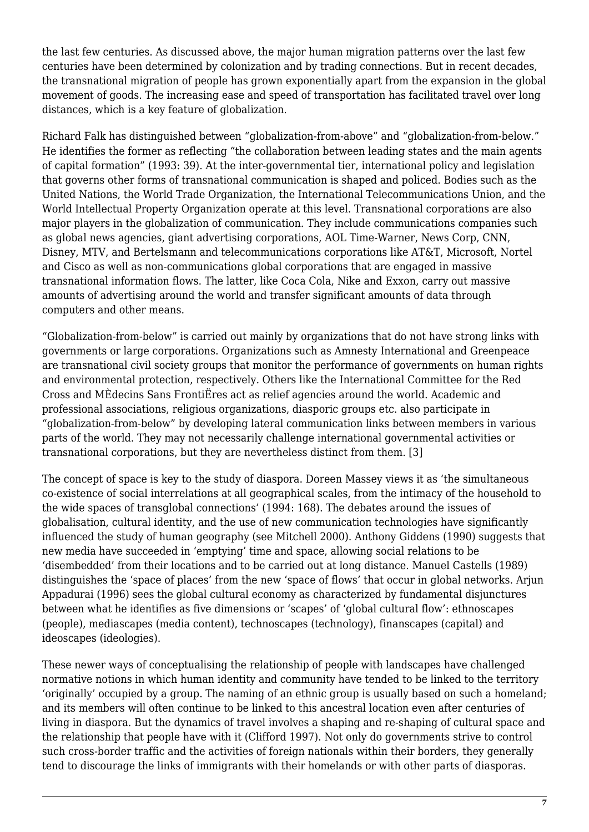the last few centuries. As discussed above, the major human migration patterns over the last few centuries have been determined by colonization and by trading connections. But in recent decades, the transnational migration of people has grown exponentially apart from the expansion in the global movement of goods. The increasing ease and speed of transportation has facilitated travel over long distances, which is a key feature of globalization.

Richard Falk has distinguished between "globalization-from-above" and "globalization-from-below." He identifies the former as reflecting "the collaboration between leading states and the main agents of capital formation" (1993: 39). At the inter-governmental tier, international policy and legislation that governs other forms of transnational communication is shaped and policed. Bodies such as the United Nations, the World Trade Organization, the International Telecommunications Union, and the World Intellectual Property Organization operate at this level. Transnational corporations are also major players in the globalization of communication. They include communications companies such as global news agencies, giant advertising corporations, AOL Time-Warner, News Corp, CNN, Disney, MTV, and Bertelsmann and telecommunications corporations like AT&T, Microsoft, Nortel and Cisco as well as non-communications global corporations that are engaged in massive transnational information flows. The latter, like Coca Cola, Nike and Exxon, carry out massive amounts of advertising around the world and transfer significant amounts of data through computers and other means.

"Globalization-from-below" is carried out mainly by organizations that do not have strong links with governments or large corporations. Organizations such as Amnesty International and Greenpeace are transnational civil society groups that monitor the performance of governments on human rights and environmental protection, respectively. Others like the International Committee for the Red Cross and MÈdecins Sans FrontiËres act as relief agencies around the world. Academic and professional associations, religious organizations, diasporic groups etc. also participate in "globalization-from-below" by developing lateral communication links between members in various parts of the world. They may not necessarily challenge international governmental activities or transnational corporations, but they are nevertheless distinct from them. [3]

The concept of space is key to the study of diaspora. Doreen Massey views it as 'the simultaneous co-existence of social interrelations at all geographical scales, from the intimacy of the household to the wide spaces of transglobal connections' (1994: 168). The debates around the issues of globalisation, cultural identity, and the use of new communication technologies have significantly influenced the study of human geography (see Mitchell 2000). Anthony Giddens (1990) suggests that new media have succeeded in 'emptying' time and space, allowing social relations to be 'disembedded' from their locations and to be carried out at long distance. Manuel Castells (1989) distinguishes the 'space of places' from the new 'space of flows' that occur in global networks. Arjun Appadurai (1996) sees the global cultural economy as characterized by fundamental disjunctures between what he identifies as five dimensions or 'scapes' of 'global cultural flow': ethnoscapes (people), mediascapes (media content), technoscapes (technology), finanscapes (capital) and ideoscapes (ideologies).

These newer ways of conceptualising the relationship of people with landscapes have challenged normative notions in which human identity and community have tended to be linked to the territory 'originally' occupied by a group. The naming of an ethnic group is usually based on such a homeland; and its members will often continue to be linked to this ancestral location even after centuries of living in diaspora. But the dynamics of travel involves a shaping and re-shaping of cultural space and the relationship that people have with it (Clifford 1997). Not only do governments strive to control such cross-border traffic and the activities of foreign nationals within their borders, they generally tend to discourage the links of immigrants with their homelands or with other parts of diasporas.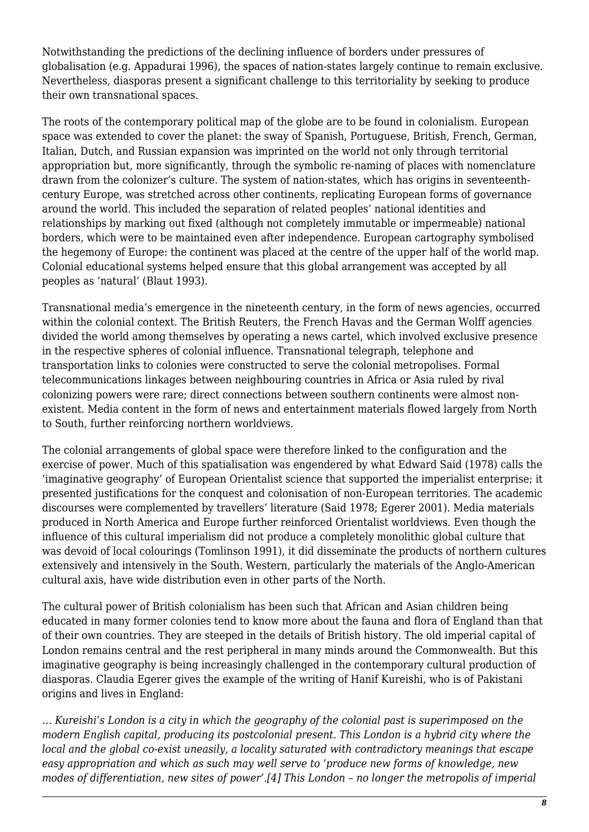Notwithstanding the predictions of the declining influence of borders under pressures of globalisation (e.g. Appadurai 1996), the spaces of nation-states largely continue to remain exclusive. Nevertheless, diasporas present a significant challenge to this territoriality by seeking to produce their own transnational spaces.

The roots of the contemporary political map of the globe are to be found in colonialism. European space was extended to cover the planet: the sway of Spanish, Portuguese, British, French, German, Italian, Dutch, and Russian expansion was imprinted on the world not only through territorial appropriation but, more significantly, through the symbolic re-naming of places with nomenclature drawn from the colonizer's culture. The system of nation-states, which has origins in seventeenthcentury Europe, was stretched across other continents, replicating European forms of governance around the world. This included the separation of related peoples' national identities and relationships by marking out fixed (although not completely immutable or impermeable) national borders, which were to be maintained even after independence. European cartography symbolised the hegemony of Europe: the continent was placed at the centre of the upper half of the world map. Colonial educational systems helped ensure that this global arrangement was accepted by all peoples as 'natural' (Blaut 1993).

Transnational media's emergence in the nineteenth century, in the form of news agencies, occurred within the colonial context. The British Reuters, the French Havas and the German Wolff agencies divided the world among themselves by operating a news cartel, which involved exclusive presence in the respective spheres of colonial influence. Transnational telegraph, telephone and transportation links to colonies were constructed to serve the colonial metropolises. Formal telecommunications linkages between neighbouring countries in Africa or Asia ruled by rival colonizing powers were rare; direct connections between southern continents were almost nonexistent. Media content in the form of news and entertainment materials flowed largely from North to South, further reinforcing northern worldviews.

The colonial arrangements of global space were therefore linked to the configuration and the exercise of power. Much of this spatialisation was engendered by what Edward Said (1978) calls the 'imaginative geography' of European Orientalist science that supported the imperialist enterprise; it presented justifications for the conquest and colonisation of non-European territories. The academic discourses were complemented by travellers' literature (Said 1978; Egerer 2001). Media materials produced in North America and Europe further reinforced Orientalist worldviews. Even though the influence of this cultural imperialism did not produce a completely monolithic global culture that was devoid of local colourings (Tomlinson 1991), it did disseminate the products of northern cultures extensively and intensively in the South. Western, particularly the materials of the Anglo-American cultural axis, have wide distribution even in other parts of the North.

The cultural power of British colonialism has been such that African and Asian children being educated in many former colonies tend to know more about the fauna and flora of England than that of their own countries. They are steeped in the details of British history. The old imperial capital of London remains central and the rest peripheral in many minds around the Commonwealth. But this imaginative geography is being increasingly challenged in the contemporary cultural production of diasporas. Claudia Egerer gives the example of the writing of Hanif Kureishi, who is of Pakistani origins and lives in England:

*… Kureishi's London is a city in which the geography of the colonial past is superimposed on the modern English capital, producing its postcolonial present. This London is a hybrid city where the local and the global co-exist uneasily, a locality saturated with contradictory meanings that escape easy appropriation and which as such may well serve to 'produce new forms of knowledge, new modes of differentiation, new sites of power'.[4] This London – no longer the metropolis of imperial*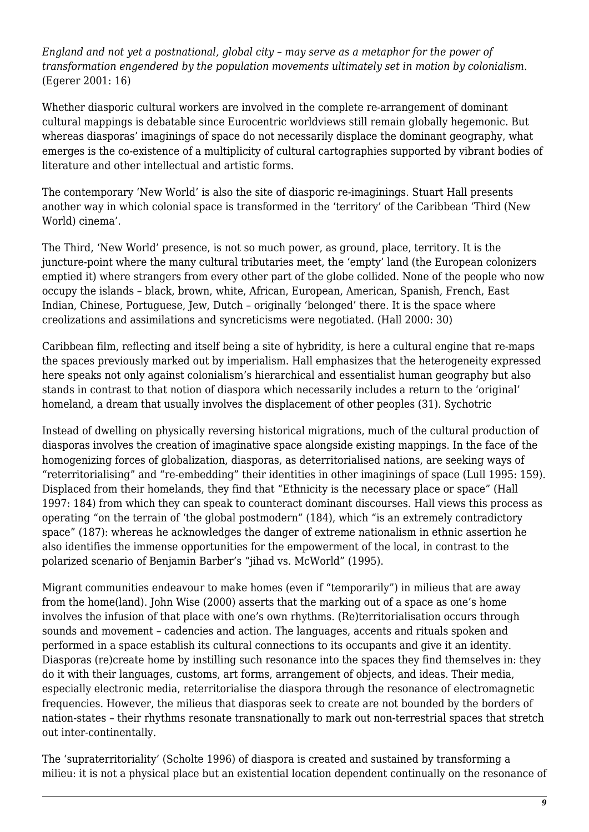*England and not yet a postnational, global city – may serve as a metaphor for the power of transformation engendered by the population movements ultimately set in motion by colonialism.* (Egerer 2001: 16)

Whether diasporic cultural workers are involved in the complete re-arrangement of dominant cultural mappings is debatable since Eurocentric worldviews still remain globally hegemonic. But whereas diasporas' imaginings of space do not necessarily displace the dominant geography, what emerges is the co-existence of a multiplicity of cultural cartographies supported by vibrant bodies of literature and other intellectual and artistic forms.

The contemporary 'New World' is also the site of diasporic re-imaginings. Stuart Hall presents another way in which colonial space is transformed in the 'territory' of the Caribbean 'Third (New World) cinema'.

The Third, 'New World' presence, is not so much power, as ground, place, territory. It is the juncture-point where the many cultural tributaries meet, the 'empty' land (the European colonizers emptied it) where strangers from every other part of the globe collided. None of the people who now occupy the islands – black, brown, white, African, European, American, Spanish, French, East Indian, Chinese, Portuguese, Jew, Dutch – originally 'belonged' there. It is the space where creolizations and assimilations and syncreticisms were negotiated. (Hall 2000: 30)

Caribbean film, reflecting and itself being a site of hybridity, is here a cultural engine that re-maps the spaces previously marked out by imperialism. Hall emphasizes that the heterogeneity expressed here speaks not only against colonialism's hierarchical and essentialist human geography but also stands in contrast to that notion of diaspora which necessarily includes a return to the 'original' homeland, a dream that usually involves the displacement of other peoples (31). Sychotric

Instead of dwelling on physically reversing historical migrations, much of the cultural production of diasporas involves the creation of imaginative space alongside existing mappings. In the face of the homogenizing forces of globalization, diasporas, as deterritorialised nations, are seeking ways of "reterritorialising" and "re-embedding" their identities in other imaginings of space (Lull 1995: 159). Displaced from their homelands, they find that "Ethnicity is the necessary place or space" (Hall 1997: 184) from which they can speak to counteract dominant discourses. Hall views this process as operating "on the terrain of 'the global postmodern" (184), which "is an extremely contradictory space" (187): whereas he acknowledges the danger of extreme nationalism in ethnic assertion he also identifies the immense opportunities for the empowerment of the local, in contrast to the polarized scenario of Benjamin Barber's "jihad vs. McWorld" (1995).

Migrant communities endeavour to make homes (even if "temporarily") in milieus that are away from the home(land). John Wise (2000) asserts that the marking out of a space as one's home involves the infusion of that place with one's own rhythms. (Re)territorialisation occurs through sounds and movement – cadencies and action. The languages, accents and rituals spoken and performed in a space establish its cultural connections to its occupants and give it an identity. Diasporas (re)create home by instilling such resonance into the spaces they find themselves in: they do it with their languages, customs, art forms, arrangement of objects, and ideas. Their media, especially electronic media, reterritorialise the diaspora through the resonance of electromagnetic frequencies. However, the milieus that diasporas seek to create are not bounded by the borders of nation-states – their rhythms resonate transnationally to mark out non-terrestrial spaces that stretch out inter-continentally.

The 'supraterritoriality' (Scholte 1996) of diaspora is created and sustained by transforming a milieu: it is not a physical place but an existential location dependent continually on the resonance of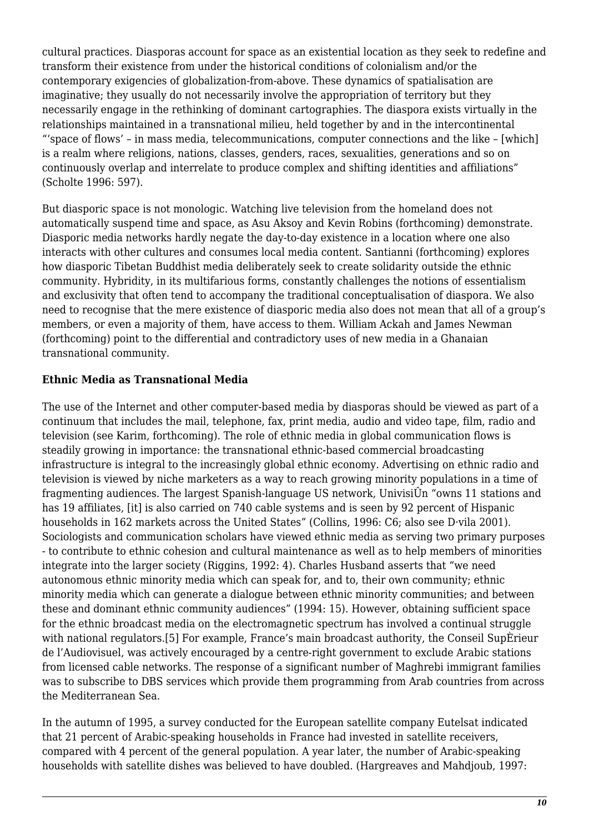cultural practices. Diasporas account for space as an existential location as they seek to redefine and transform their existence from under the historical conditions of colonialism and/or the contemporary exigencies of globalization-from-above. These dynamics of spatialisation are imaginative; they usually do not necessarily involve the appropriation of territory but they necessarily engage in the rethinking of dominant cartographies. The diaspora exists virtually in the relationships maintained in a transnational milieu, held together by and in the intercontinental "'space of flows' – in mass media, telecommunications, computer connections and the like – [which] is a realm where religions, nations, classes, genders, races, sexualities, generations and so on continuously overlap and interrelate to produce complex and shifting identities and affiliations" (Scholte 1996: 597).

But diasporic space is not monologic. Watching live television from the homeland does not automatically suspend time and space, as Asu Aksoy and Kevin Robins (forthcoming) demonstrate. Diasporic media networks hardly negate the day-to-day existence in a location where one also interacts with other cultures and consumes local media content. Santianni (forthcoming) explores how diasporic Tibetan Buddhist media deliberately seek to create solidarity outside the ethnic community. Hybridity, in its multifarious forms, constantly challenges the notions of essentialism and exclusivity that often tend to accompany the traditional conceptualisation of diaspora. We also need to recognise that the mere existence of diasporic media also does not mean that all of a group's members, or even a majority of them, have access to them. William Ackah and James Newman (forthcoming) point to the differential and contradictory uses of new media in a Ghanaian transnational community.

#### **Ethnic Media as Transnational Media**

The use of the Internet and other computer-based media by diasporas should be viewed as part of a continuum that includes the mail, telephone, fax, print media, audio and video tape, film, radio and television (see Karim, forthcoming). The role of ethnic media in global communication flows is steadily growing in importance: the transnational ethnic-based commercial broadcasting infrastructure is integral to the increasingly global ethnic economy. Advertising on ethnic radio and television is viewed by niche marketers as a way to reach growing minority populations in a time of fragmenting audiences. The largest Spanish-language US network, UnivisiÛn "owns 11 stations and has 19 affiliates, [it] is also carried on 740 cable systems and is seen by 92 percent of Hispanic households in 162 markets across the United States" (Collins, 1996: C6; also see D·vila 2001). Sociologists and communication scholars have viewed ethnic media as serving two primary purposes - to contribute to ethnic cohesion and cultural maintenance as well as to help members of minorities integrate into the larger society (Riggins, 1992: 4). Charles Husband asserts that "we need autonomous ethnic minority media which can speak for, and to, their own community; ethnic minority media which can generate a dialogue between ethnic minority communities; and between these and dominant ethnic community audiences" (1994: 15). However, obtaining sufficient space for the ethnic broadcast media on the electromagnetic spectrum has involved a continual struggle with national regulators.[5] For example, France's main broadcast authority, the Conseil SupÈrieur de l'Audiovisuel, was actively encouraged by a centre-right government to exclude Arabic stations from licensed cable networks. The response of a significant number of Maghrebi immigrant families was to subscribe to DBS services which provide them programming from Arab countries from across the Mediterranean Sea.

In the autumn of 1995, a survey conducted for the European satellite company Eutelsat indicated that 21 percent of Arabic-speaking households in France had invested in satellite receivers, compared with 4 percent of the general population. A year later, the number of Arabic-speaking households with satellite dishes was believed to have doubled. (Hargreaves and Mahdjoub, 1997: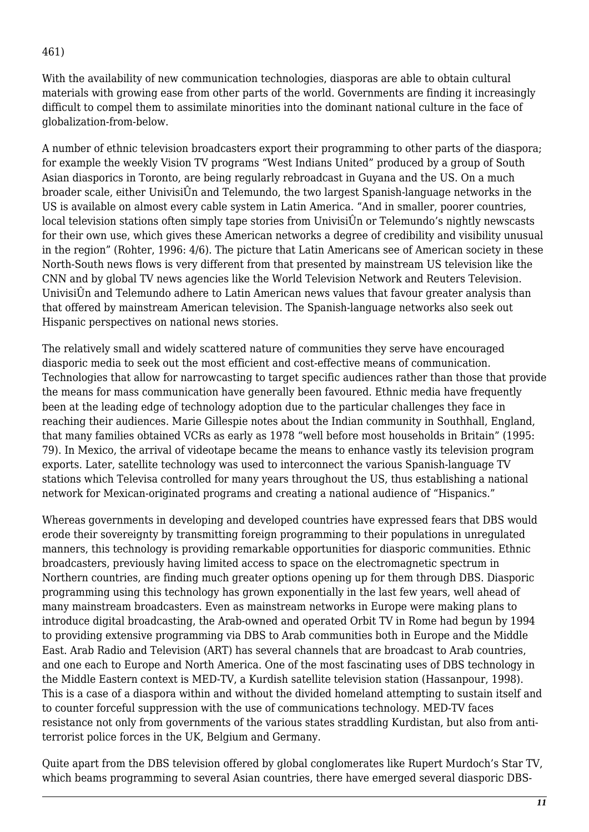#### 461)

With the availability of new communication technologies, diasporas are able to obtain cultural materials with growing ease from other parts of the world. Governments are finding it increasingly difficult to compel them to assimilate minorities into the dominant national culture in the face of globalization-from-below.

A number of ethnic television broadcasters export their programming to other parts of the diaspora; for example the weekly Vision TV programs "West Indians United" produced by a group of South Asian diasporics in Toronto, are being regularly rebroadcast in Guyana and the US. On a much broader scale, either UnivisiÛn and Telemundo, the two largest Spanish-language networks in the US is available on almost every cable system in Latin America. "And in smaller, poorer countries, local television stations often simply tape stories from UnivisiÛn or Telemundo's nightly newscasts for their own use, which gives these American networks a degree of credibility and visibility unusual in the region" (Rohter, 1996: 4/6). The picture that Latin Americans see of American society in these North-South news flows is very different from that presented by mainstream US television like the CNN and by global TV news agencies like the World Television Network and Reuters Television. UnivisiÛn and Telemundo adhere to Latin American news values that favour greater analysis than that offered by mainstream American television. The Spanish-language networks also seek out Hispanic perspectives on national news stories.

The relatively small and widely scattered nature of communities they serve have encouraged diasporic media to seek out the most efficient and cost-effective means of communication. Technologies that allow for narrowcasting to target specific audiences rather than those that provide the means for mass communication have generally been favoured. Ethnic media have frequently been at the leading edge of technology adoption due to the particular challenges they face in reaching their audiences. Marie Gillespie notes about the Indian community in Southhall, England, that many families obtained VCRs as early as 1978 "well before most households in Britain" (1995: 79). In Mexico, the arrival of videotape became the means to enhance vastly its television program exports. Later, satellite technology was used to interconnect the various Spanish-language TV stations which Televisa controlled for many years throughout the US, thus establishing a national network for Mexican-originated programs and creating a national audience of "Hispanics."

Whereas governments in developing and developed countries have expressed fears that DBS would erode their sovereignty by transmitting foreign programming to their populations in unregulated manners, this technology is providing remarkable opportunities for diasporic communities. Ethnic broadcasters, previously having limited access to space on the electromagnetic spectrum in Northern countries, are finding much greater options opening up for them through DBS. Diasporic programming using this technology has grown exponentially in the last few years, well ahead of many mainstream broadcasters. Even as mainstream networks in Europe were making plans to introduce digital broadcasting, the Arab-owned and operated Orbit TV in Rome had begun by 1994 to providing extensive programming via DBS to Arab communities both in Europe and the Middle East. Arab Radio and Television (ART) has several channels that are broadcast to Arab countries, and one each to Europe and North America. One of the most fascinating uses of DBS technology in the Middle Eastern context is MED-TV, a Kurdish satellite television station (Hassanpour, 1998). This is a case of a diaspora within and without the divided homeland attempting to sustain itself and to counter forceful suppression with the use of communications technology. MED-TV faces resistance not only from governments of the various states straddling Kurdistan, but also from antiterrorist police forces in the UK, Belgium and Germany.

Quite apart from the DBS television offered by global conglomerates like Rupert Murdoch's Star TV, which beams programming to several Asian countries, there have emerged several diasporic DBS-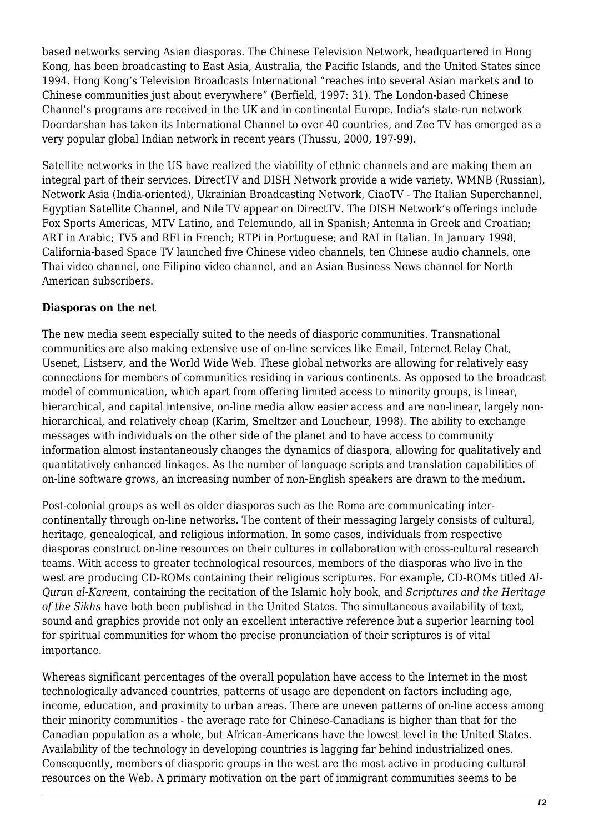based networks serving Asian diasporas. The Chinese Television Network, headquartered in Hong Kong, has been broadcasting to East Asia, Australia, the Pacific Islands, and the United States since 1994. Hong Kong's Television Broadcasts International "reaches into several Asian markets and to Chinese communities just about everywhere" (Berfield, 1997: 31). The London-based Chinese Channel's programs are received in the UK and in continental Europe. India's state-run network Doordarshan has taken its International Channel to over 40 countries, and Zee TV has emerged as a very popular global Indian network in recent years (Thussu, 2000, 197-99).

Satellite networks in the US have realized the viability of ethnic channels and are making them an integral part of their services. DirectTV and DISH Network provide a wide variety. WMNB (Russian), Network Asia (India-oriented), Ukrainian Broadcasting Network, CiaoTV - The Italian Superchannel, Egyptian Satellite Channel, and Nile TV appear on DirectTV. The DISH Network's offerings include Fox Sports Americas, MTV Latino, and Telemundo, all in Spanish; Antenna in Greek and Croatian; ART in Arabic; TV5 and RFI in French; RTPi in Portuguese; and RAI in Italian. In January 1998, California-based Space TV launched five Chinese video channels, ten Chinese audio channels, one Thai video channel, one Filipino video channel, and an Asian Business News channel for North American subscribers.

#### **Diasporas on the net**

The new media seem especially suited to the needs of diasporic communities. Transnational communities are also making extensive use of on-line services like Email, Internet Relay Chat, Usenet, Listserv, and the World Wide Web. These global networks are allowing for relatively easy connections for members of communities residing in various continents. As opposed to the broadcast model of communication, which apart from offering limited access to minority groups, is linear, hierarchical, and capital intensive, on-line media allow easier access and are non-linear, largely nonhierarchical, and relatively cheap (Karim, Smeltzer and Loucheur, 1998). The ability to exchange messages with individuals on the other side of the planet and to have access to community information almost instantaneously changes the dynamics of diaspora, allowing for qualitatively and quantitatively enhanced linkages. As the number of language scripts and translation capabilities of on-line software grows, an increasing number of non-English speakers are drawn to the medium.

Post-colonial groups as well as older diasporas such as the Roma are communicating intercontinentally through on-line networks. The content of their messaging largely consists of cultural, heritage, genealogical, and religious information. In some cases, individuals from respective diasporas construct on-line resources on their cultures in collaboration with cross-cultural research teams. With access to greater technological resources, members of the diasporas who live in the west are producing CD-ROMs containing their religious scriptures. For example, CD-ROMs titled *Al-Quran al-Kareem*, containing the recitation of the Islamic holy book, and *Scriptures and the Heritage of the Sikhs* have both been published in the United States. The simultaneous availability of text, sound and graphics provide not only an excellent interactive reference but a superior learning tool for spiritual communities for whom the precise pronunciation of their scriptures is of vital importance.

Whereas significant percentages of the overall population have access to the Internet in the most technologically advanced countries, patterns of usage are dependent on factors including age, income, education, and proximity to urban areas. There are uneven patterns of on-line access among their minority communities - the average rate for Chinese-Canadians is higher than that for the Canadian population as a whole, but African-Americans have the lowest level in the United States. Availability of the technology in developing countries is lagging far behind industrialized ones. Consequently, members of diasporic groups in the west are the most active in producing cultural resources on the Web. A primary motivation on the part of immigrant communities seems to be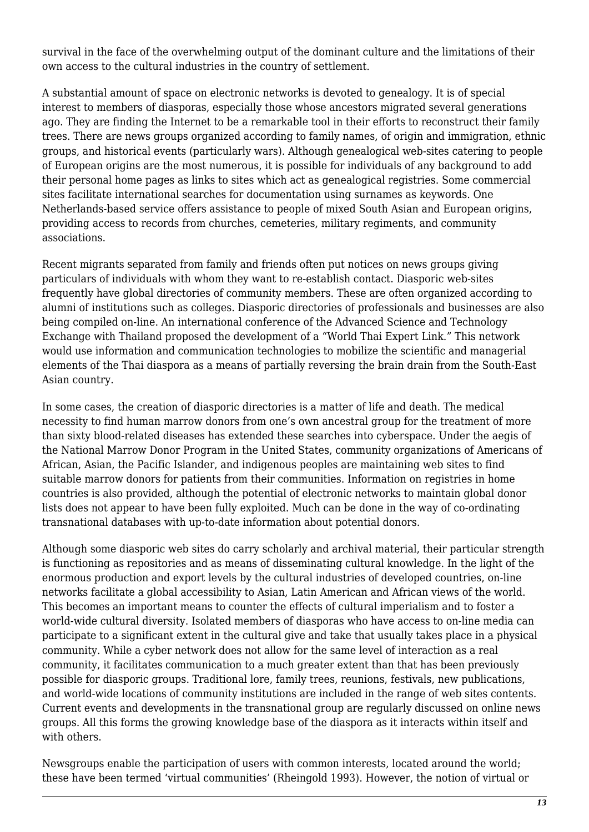survival in the face of the overwhelming output of the dominant culture and the limitations of their own access to the cultural industries in the country of settlement.

A substantial amount of space on electronic networks is devoted to genealogy. It is of special interest to members of diasporas, especially those whose ancestors migrated several generations ago. They are finding the Internet to be a remarkable tool in their efforts to reconstruct their family trees. There are news groups organized according to family names, of origin and immigration, ethnic groups, and historical events (particularly wars). Although genealogical web-sites catering to people of European origins are the most numerous, it is possible for individuals of any background to add their personal home pages as links to sites which act as genealogical registries. Some commercial sites facilitate international searches for documentation using surnames as keywords. One Netherlands-based service offers assistance to people of mixed South Asian and European origins, providing access to records from churches, cemeteries, military regiments, and community associations.

Recent migrants separated from family and friends often put notices on news groups giving particulars of individuals with whom they want to re-establish contact. Diasporic web-sites frequently have global directories of community members. These are often organized according to alumni of institutions such as colleges. Diasporic directories of professionals and businesses are also being compiled on-line. An international conference of the Advanced Science and Technology Exchange with Thailand proposed the development of a "World Thai Expert Link." This network would use information and communication technologies to mobilize the scientific and managerial elements of the Thai diaspora as a means of partially reversing the brain drain from the South-East Asian country.

In some cases, the creation of diasporic directories is a matter of life and death. The medical necessity to find human marrow donors from one's own ancestral group for the treatment of more than sixty blood-related diseases has extended these searches into cyberspace. Under the aegis of the National Marrow Donor Program in the United States, community organizations of Americans of African, Asian, the Pacific Islander, and indigenous peoples are maintaining web sites to find suitable marrow donors for patients from their communities. Information on registries in home countries is also provided, although the potential of electronic networks to maintain global donor lists does not appear to have been fully exploited. Much can be done in the way of co-ordinating transnational databases with up-to-date information about potential donors.

Although some diasporic web sites do carry scholarly and archival material, their particular strength is functioning as repositories and as means of disseminating cultural knowledge. In the light of the enormous production and export levels by the cultural industries of developed countries, on-line networks facilitate a global accessibility to Asian, Latin American and African views of the world. This becomes an important means to counter the effects of cultural imperialism and to foster a world-wide cultural diversity. Isolated members of diasporas who have access to on-line media can participate to a significant extent in the cultural give and take that usually takes place in a physical community. While a cyber network does not allow for the same level of interaction as a real community, it facilitates communication to a much greater extent than that has been previously possible for diasporic groups. Traditional lore, family trees, reunions, festivals, new publications, and world-wide locations of community institutions are included in the range of web sites contents. Current events and developments in the transnational group are regularly discussed on online news groups. All this forms the growing knowledge base of the diaspora as it interacts within itself and with others.

Newsgroups enable the participation of users with common interests, located around the world; these have been termed 'virtual communities' (Rheingold 1993). However, the notion of virtual or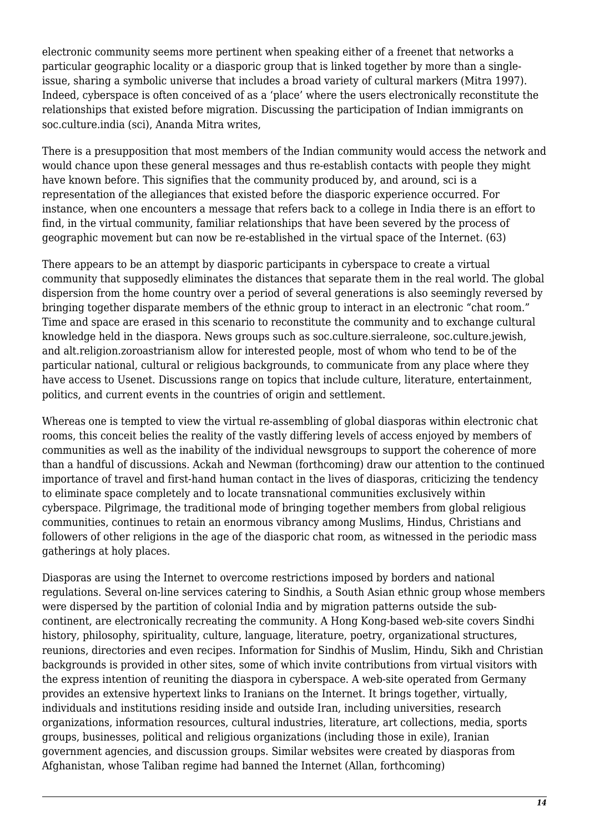electronic community seems more pertinent when speaking either of a freenet that networks a particular geographic locality or a diasporic group that is linked together by more than a singleissue, sharing a symbolic universe that includes a broad variety of cultural markers (Mitra 1997). Indeed, cyberspace is often conceived of as a 'place' where the users electronically reconstitute the relationships that existed before migration. Discussing the participation of Indian immigrants on soc.culture.india (sci), Ananda Mitra writes,

There is a presupposition that most members of the Indian community would access the network and would chance upon these general messages and thus re-establish contacts with people they might have known before. This signifies that the community produced by, and around, sci is a representation of the allegiances that existed before the diasporic experience occurred. For instance, when one encounters a message that refers back to a college in India there is an effort to find, in the virtual community, familiar relationships that have been severed by the process of geographic movement but can now be re-established in the virtual space of the Internet. (63)

There appears to be an attempt by diasporic participants in cyberspace to create a virtual community that supposedly eliminates the distances that separate them in the real world. The global dispersion from the home country over a period of several generations is also seemingly reversed by bringing together disparate members of the ethnic group to interact in an electronic "chat room." Time and space are erased in this scenario to reconstitute the community and to exchange cultural knowledge held in the diaspora. News groups such as soc.culture.sierraleone, soc.culture.jewish, and alt.religion.zoroastrianism allow for interested people, most of whom who tend to be of the particular national, cultural or religious backgrounds, to communicate from any place where they have access to Usenet. Discussions range on topics that include culture, literature, entertainment, politics, and current events in the countries of origin and settlement.

Whereas one is tempted to view the virtual re-assembling of global diasporas within electronic chat rooms, this conceit belies the reality of the vastly differing levels of access enjoyed by members of communities as well as the inability of the individual newsgroups to support the coherence of more than a handful of discussions. Ackah and Newman (forthcoming) draw our attention to the continued importance of travel and first-hand human contact in the lives of diasporas, criticizing the tendency to eliminate space completely and to locate transnational communities exclusively within cyberspace. Pilgrimage, the traditional mode of bringing together members from global religious communities, continues to retain an enormous vibrancy among Muslims, Hindus, Christians and followers of other religions in the age of the diasporic chat room, as witnessed in the periodic mass gatherings at holy places.

Diasporas are using the Internet to overcome restrictions imposed by borders and national regulations. Several on-line services catering to Sindhis, a South Asian ethnic group whose members were dispersed by the partition of colonial India and by migration patterns outside the subcontinent, are electronically recreating the community. A Hong Kong-based web-site covers Sindhi history, philosophy, spirituality, culture, language, literature, poetry, organizational structures, reunions, directories and even recipes. Information for Sindhis of Muslim, Hindu, Sikh and Christian backgrounds is provided in other sites, some of which invite contributions from virtual visitors with the express intention of reuniting the diaspora in cyberspace. A web-site operated from Germany provides an extensive hypertext links to Iranians on the Internet. It brings together, virtually, individuals and institutions residing inside and outside Iran, including universities, research organizations, information resources, cultural industries, literature, art collections, media, sports groups, businesses, political and religious organizations (including those in exile), Iranian government agencies, and discussion groups. Similar websites were created by diasporas from Afghanistan, whose Taliban regime had banned the Internet (Allan, forthcoming)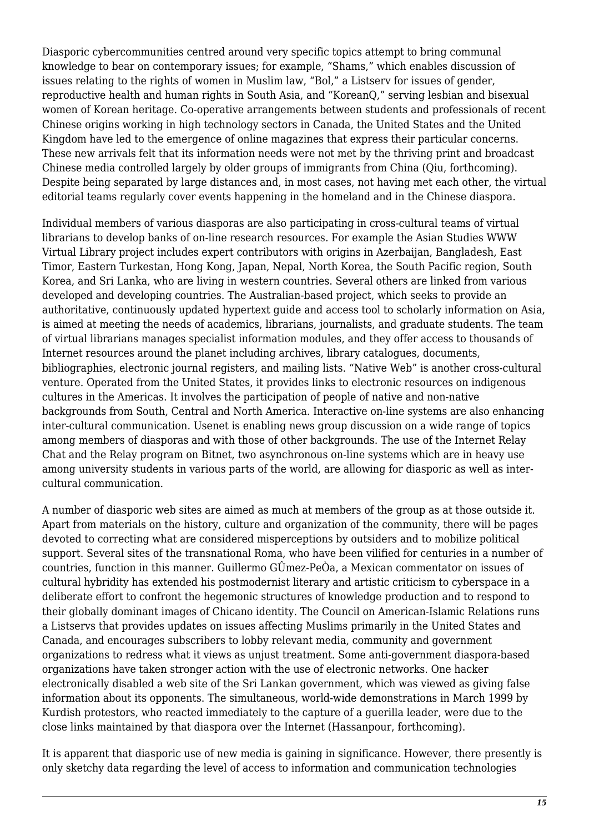Diasporic cybercommunities centred around very specific topics attempt to bring communal knowledge to bear on contemporary issues; for example, "Shams," which enables discussion of issues relating to the rights of women in Muslim law, "Bol," a Listserv for issues of gender, reproductive health and human rights in South Asia, and "KoreanQ," serving lesbian and bisexual women of Korean heritage. Co-operative arrangements between students and professionals of recent Chinese origins working in high technology sectors in Canada, the United States and the United Kingdom have led to the emergence of online magazines that express their particular concerns. These new arrivals felt that its information needs were not met by the thriving print and broadcast Chinese media controlled largely by older groups of immigrants from China (Qiu, forthcoming). Despite being separated by large distances and, in most cases, not having met each other, the virtual editorial teams regularly cover events happening in the homeland and in the Chinese diaspora.

Individual members of various diasporas are also participating in cross-cultural teams of virtual librarians to develop banks of on-line research resources. For example the Asian Studies WWW Virtual Library project includes expert contributors with origins in Azerbaijan, Bangladesh, East Timor, Eastern Turkestan, Hong Kong, Japan, Nepal, North Korea, the South Pacific region, South Korea, and Sri Lanka, who are living in western countries. Several others are linked from various developed and developing countries. The Australian-based project, which seeks to provide an authoritative, continuously updated hypertext guide and access tool to scholarly information on Asia, is aimed at meeting the needs of academics, librarians, journalists, and graduate students. The team of virtual librarians manages specialist information modules, and they offer access to thousands of Internet resources around the planet including archives, library catalogues, documents, bibliographies, electronic journal registers, and mailing lists. "Native Web" is another cross-cultural venture. Operated from the United States, it provides links to electronic resources on indigenous cultures in the Americas. It involves the participation of people of native and non-native backgrounds from South, Central and North America. Interactive on-line systems are also enhancing inter-cultural communication. Usenet is enabling news group discussion on a wide range of topics among members of diasporas and with those of other backgrounds. The use of the Internet Relay Chat and the Relay program on Bitnet, two asynchronous on-line systems which are in heavy use among university students in various parts of the world, are allowing for diasporic as well as intercultural communication.

A number of diasporic web sites are aimed as much at members of the group as at those outside it. Apart from materials on the history, culture and organization of the community, there will be pages devoted to correcting what are considered misperceptions by outsiders and to mobilize political support. Several sites of the transnational Roma, who have been vilified for centuries in a number of countries, function in this manner. Guillermo GÛmez-PeÒa, a Mexican commentator on issues of cultural hybridity has extended his postmodernist literary and artistic criticism to cyberspace in a deliberate effort to confront the hegemonic structures of knowledge production and to respond to their globally dominant images of Chicano identity. The Council on American-Islamic Relations runs a Listservs that provides updates on issues affecting Muslims primarily in the United States and Canada, and encourages subscribers to lobby relevant media, community and government organizations to redress what it views as unjust treatment. Some anti-government diaspora-based organizations have taken stronger action with the use of electronic networks. One hacker electronically disabled a web site of the Sri Lankan government, which was viewed as giving false information about its opponents. The simultaneous, world-wide demonstrations in March 1999 by Kurdish protestors, who reacted immediately to the capture of a guerilla leader, were due to the close links maintained by that diaspora over the Internet (Hassanpour, forthcoming).

It is apparent that diasporic use of new media is gaining in significance. However, there presently is only sketchy data regarding the level of access to information and communication technologies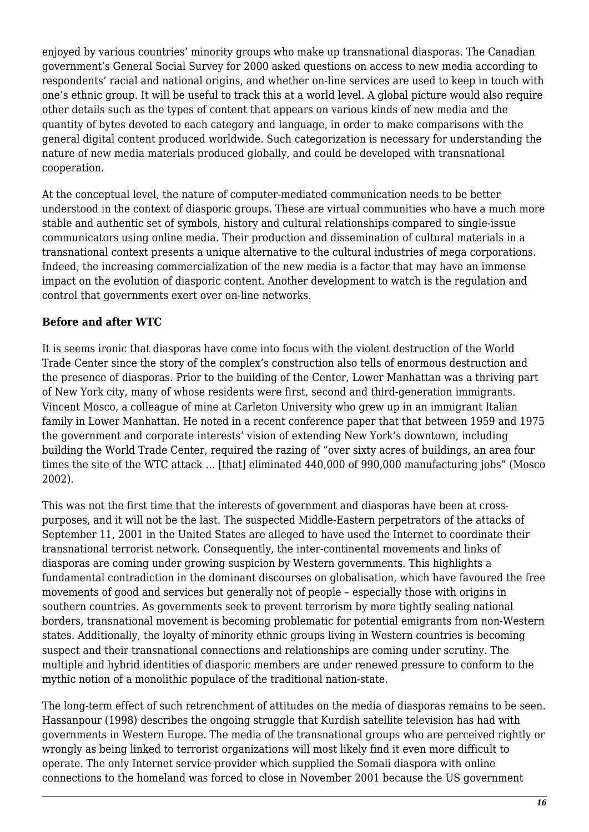enjoyed by various countries' minority groups who make up transnational diasporas. The Canadian government's General Social Survey for 2000 asked questions on access to new media according to respondents' racial and national origins, and whether on-line services are used to keep in touch with one's ethnic group. It will be useful to track this at a world level. A global picture would also require other details such as the types of content that appears on various kinds of new media and the quantity of bytes devoted to each category and language, in order to make comparisons with the general digital content produced worldwide. Such categorization is necessary for understanding the nature of new media materials produced globally, and could be developed with transnational cooperation.

At the conceptual level, the nature of computer-mediated communication needs to be better understood in the context of diasporic groups. These are virtual communities who have a much more stable and authentic set of symbols, history and cultural relationships compared to single-issue communicators using online media. Their production and dissemination of cultural materials in a transnational context presents a unique alternative to the cultural industries of mega corporations. Indeed, the increasing commercialization of the new media is a factor that may have an immense impact on the evolution of diasporic content. Another development to watch is the regulation and control that governments exert over on-line networks.

#### **Before and after WTC**

It is seems ironic that diasporas have come into focus with the violent destruction of the World Trade Center since the story of the complex's construction also tells of enormous destruction and the presence of diasporas. Prior to the building of the Center, Lower Manhattan was a thriving part of New York city, many of whose residents were first, second and third-generation immigrants. Vincent Mosco, a colleague of mine at Carleton University who grew up in an immigrant Italian family in Lower Manhattan. He noted in a recent conference paper that that between 1959 and 1975 the government and corporate interests' vision of extending New York's downtown, including building the World Trade Center, required the razing of "over sixty acres of buildings, an area four times the site of the WTC attack … [that] eliminated 440,000 of 990,000 manufacturing jobs" (Mosco 2002).

This was not the first time that the interests of government and diasporas have been at crosspurposes, and it will not be the last. The suspected Middle-Eastern perpetrators of the attacks of September 11, 2001 in the United States are alleged to have used the Internet to coordinate their transnational terrorist network. Consequently, the inter-continental movements and links of diasporas are coming under growing suspicion by Western governments. This highlights a fundamental contradiction in the dominant discourses on globalisation, which have favoured the free movements of good and services but generally not of people – especially those with origins in southern countries. As governments seek to prevent terrorism by more tightly sealing national borders, transnational movement is becoming problematic for potential emigrants from non-Western states. Additionally, the loyalty of minority ethnic groups living in Western countries is becoming suspect and their transnational connections and relationships are coming under scrutiny. The multiple and hybrid identities of diasporic members are under renewed pressure to conform to the mythic notion of a monolithic populace of the traditional nation-state.

The long-term effect of such retrenchment of attitudes on the media of diasporas remains to be seen. Hassanpour (1998) describes the ongoing struggle that Kurdish satellite television has had with governments in Western Europe. The media of the transnational groups who are perceived rightly or wrongly as being linked to terrorist organizations will most likely find it even more difficult to operate. The only Internet service provider which supplied the Somali diaspora with online connections to the homeland was forced to close in November 2001 because the US government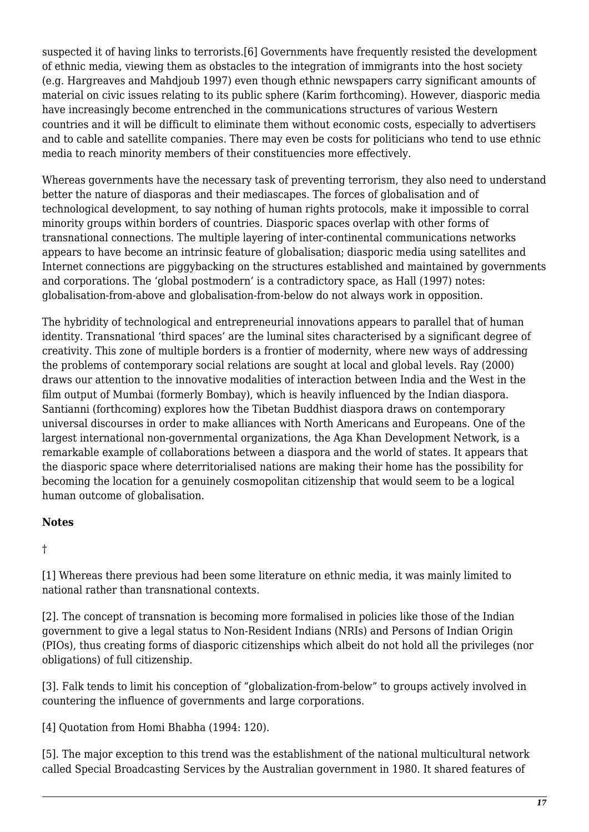suspected it of having links to terrorists.[6] Governments have frequently resisted the development of ethnic media, viewing them as obstacles to the integration of immigrants into the host society (e.g. Hargreaves and Mahdjoub 1997) even though ethnic newspapers carry significant amounts of material on civic issues relating to its public sphere (Karim forthcoming). However, diasporic media have increasingly become entrenched in the communications structures of various Western countries and it will be difficult to eliminate them without economic costs, especially to advertisers and to cable and satellite companies. There may even be costs for politicians who tend to use ethnic media to reach minority members of their constituencies more effectively.

Whereas governments have the necessary task of preventing terrorism, they also need to understand better the nature of diasporas and their mediascapes. The forces of globalisation and of technological development, to say nothing of human rights protocols, make it impossible to corral minority groups within borders of countries. Diasporic spaces overlap with other forms of transnational connections. The multiple layering of inter-continental communications networks appears to have become an intrinsic feature of globalisation; diasporic media using satellites and Internet connections are piggybacking on the structures established and maintained by governments and corporations. The 'global postmodern' is a contradictory space, as Hall (1997) notes: globalisation-from-above and globalisation-from-below do not always work in opposition.

The hybridity of technological and entrepreneurial innovations appears to parallel that of human identity. Transnational 'third spaces' are the luminal sites characterised by a significant degree of creativity. This zone of multiple borders is a frontier of modernity, where new ways of addressing the problems of contemporary social relations are sought at local and global levels. Ray (2000) draws our attention to the innovative modalities of interaction between India and the West in the film output of Mumbai (formerly Bombay), which is heavily influenced by the Indian diaspora. Santianni (forthcoming) explores how the Tibetan Buddhist diaspora draws on contemporary universal discourses in order to make alliances with North Americans and Europeans. One of the largest international non-governmental organizations, the Aga Khan Development Network, is a remarkable example of collaborations between a diaspora and the world of states. It appears that the diasporic space where deterritorialised nations are making their home has the possibility for becoming the location for a genuinely cosmopolitan citizenship that would seem to be a logical human outcome of globalisation.

#### **Notes**

†

[1] Whereas there previous had been some literature on ethnic media, it was mainly limited to national rather than transnational contexts.

[2]. The concept of transnation is becoming more formalised in policies like those of the Indian government to give a legal status to Non-Resident Indians (NRIs) and Persons of Indian Origin (PIOs), thus creating forms of diasporic citizenships which albeit do not hold all the privileges (nor obligations) of full citizenship.

[3]. Falk tends to limit his conception of "globalization-from-below" to groups actively involved in countering the influence of governments and large corporations.

[4] Quotation from Homi Bhabha (1994: 120).

[5]. The major exception to this trend was the establishment of the national multicultural network called Special Broadcasting Services by the Australian government in 1980. It shared features of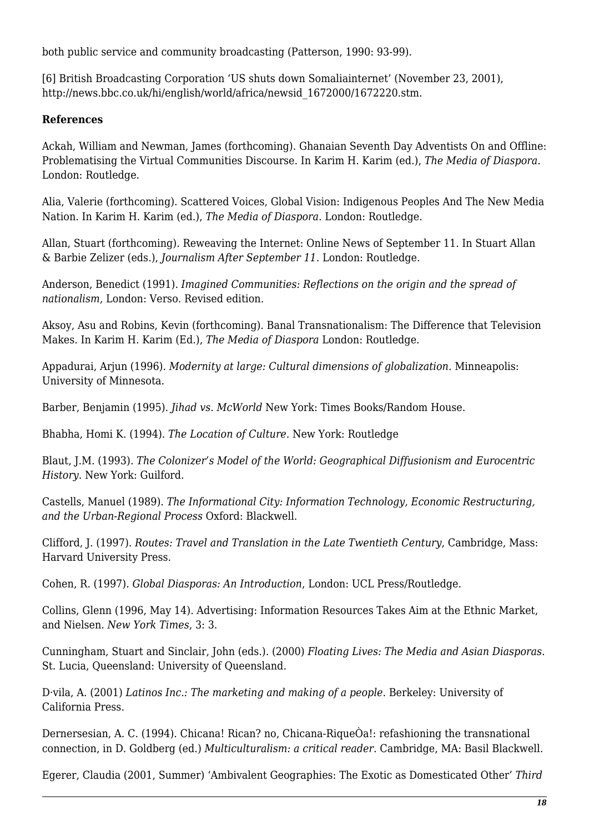both public service and community broadcasting (Patterson, 1990: 93-99).

[6] British Broadcasting Corporation 'US shuts down Somaliainternet' (November 23, 2001), http://news.bbc.co.uk/hi/english/world/africa/newsid\_1672000/1672220.stm.

#### **References**

Ackah, William and Newman, James (forthcoming). Ghanaian Seventh Day Adventists On and Offline: Problematising the Virtual Communities Discourse. In Karim H. Karim (ed.), *The Media of Diaspora*. London: Routledge.

Alia, Valerie (forthcoming). Scattered Voices, Global Vision: Indigenous Peoples And The New Media Nation. In Karim H. Karim (ed.), *The Media of Diaspora*. London: Routledge.

Allan, Stuart (forthcoming). Reweaving the Internet: Online News of September 11. In Stuart Allan & Barbie Zelizer (eds.), *Journalism After September 11*. London: Routledge.

Anderson, Benedict (1991). *Imagined Communities: Reflections on the origin and the spread of nationalism*, London: Verso. Revised edition.

Aksoy, Asu and Robins, Kevin (forthcoming). Banal Transnationalism: The Difference that Television Makes. In Karim H. Karim (Ed.), *The Media of Diaspora* London: Routledge.

Appadurai, Arjun (1996). *Modernity at large: Cultural dimensions of globalization*. Minneapolis: University of Minnesota.

Barber, Benjamin (1995). *Jihad vs. McWorld* New York: Times Books/Random House.

Bhabha, Homi K. (1994). *The Location of Culture*. New York: Routledge

Blaut, J.M. (1993). *The Colonizer's Model of the World: Geographical Diffusionism and Eurocentric History*. New York: Guilford.

Castells, Manuel (1989). *The Informational City: Information Technology, Economic Restructuring, and the Urban-Regional Process* Oxford: Blackwell.

Clifford, J. (1997). *Routes: Travel and Translation in the Late Twentieth Century*, Cambridge, Mass: Harvard University Press.

Cohen, R. (1997). *Global Diasporas: An Introduction*, London: UCL Press/Routledge.

Collins, Glenn (1996, May 14). Advertising: Information Resources Takes Aim at the Ethnic Market, and Nielsen. *New York Times*, 3: 3.

Cunningham, Stuart and Sinclair, John (eds.). (2000) *Floating Lives: The Media and Asian Diasporas*. St. Lucia, Queensland: University of Queensland.

D·vila, A. (2001) *Latinos Inc.: The marketing and making of a people*. Berkeley: University of California Press.

Dernersesian, A. C. (1994). Chicana! Rican? no, Chicana-RiqueÒa!: refashioning the transnational connection, in D. Goldberg (ed.) *Multiculturalism: a critical reader*. Cambridge, MA: Basil Blackwell.

Egerer, Claudia (2001, Summer) 'Ambivalent Geographies: The Exotic as Domesticated Other' *Third*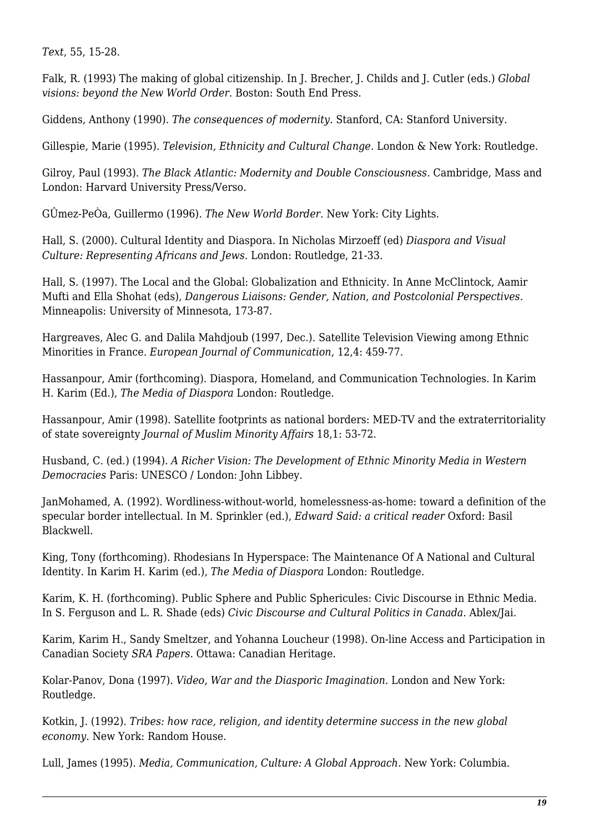*Text*, 55, 15-28.

Falk, R. (1993) The making of global citizenship. In J. Brecher, J. Childs and J. Cutler (eds.) *Global visions: beyond the New World Order*. Boston: South End Press.

Giddens, Anthony (1990). *The consequences of modernity*. Stanford, CA: Stanford University.

Gillespie, Marie (1995). *Television, Ethnicity and Cultural Change*. London & New York: Routledge.

Gilroy, Paul (1993). *The Black Atlantic: Modernity and Double Consciousness*. Cambridge, Mass and London: Harvard University Press/Verso.

GÛmez-PeÒa, Guillermo (1996). *The New World Border*. New York: City Lights.

Hall, S. (2000). Cultural Identity and Diaspora. In Nicholas Mirzoeff (ed) *Diaspora and Visual Culture: Representing Africans and Jews*. London: Routledge, 21-33.

Hall, S. (1997). The Local and the Global: Globalization and Ethnicity. In Anne McClintock, Aamir Mufti and Ella Shohat (eds), *Dangerous Liaisons: Gender, Nation, and Postcolonial Perspectives*. Minneapolis: University of Minnesota, 173-87.

Hargreaves, Alec G. and Dalila Mahdjoub (1997, Dec.). Satellite Television Viewing among Ethnic Minorities in France. *European Journal of Communication*, 12,4: 459-77.

Hassanpour, Amir (forthcoming). Diaspora, Homeland, and Communication Technologies. In Karim H. Karim (Ed.), *The Media of Diaspora* London: Routledge.

Hassanpour, Amir (1998). Satellite footprints as national borders: MED-TV and the extraterritoriality of state sovereignty *Journal of Muslim Minority Affairs* 18,1: 53-72.

Husband, C. (ed.) (1994). *A Richer Vision: The Development of Ethnic Minority Media in Western Democracies* Paris: UNESCO / London: John Libbey.

JanMohamed, A. (1992). Wordliness-without-world, homelessness-as-home: toward a definition of the specular border intellectual. In M. Sprinkler (ed.), *Edward Said: a critical reader* Oxford: Basil Blackwell.

King, Tony (forthcoming). Rhodesians In Hyperspace: The Maintenance Of A National and Cultural Identity. In Karim H. Karim (ed.), *The Media of Diaspora* London: Routledge.

Karim, K. H. (forthcoming). Public Sphere and Public Sphericules: Civic Discourse in Ethnic Media. In S. Ferguson and L. R. Shade (eds) *Civic Discourse and Cultural Politics in Canada*. Ablex/Jai.

Karim, Karim H., Sandy Smeltzer, and Yohanna Loucheur (1998). On-line Access and Participation in Canadian Society *SRA Papers*. Ottawa: Canadian Heritage.

Kolar-Panov, Dona (1997). *Video, War and the Diasporic Imagination*. London and New York: Routledge.

Kotkin, J. (1992). *Tribes: how race, religion, and identity determine success in the new global economy*. New York: Random House.

Lull, James (1995). *Media, Communication, Culture: A Global Approach*. New York: Columbia.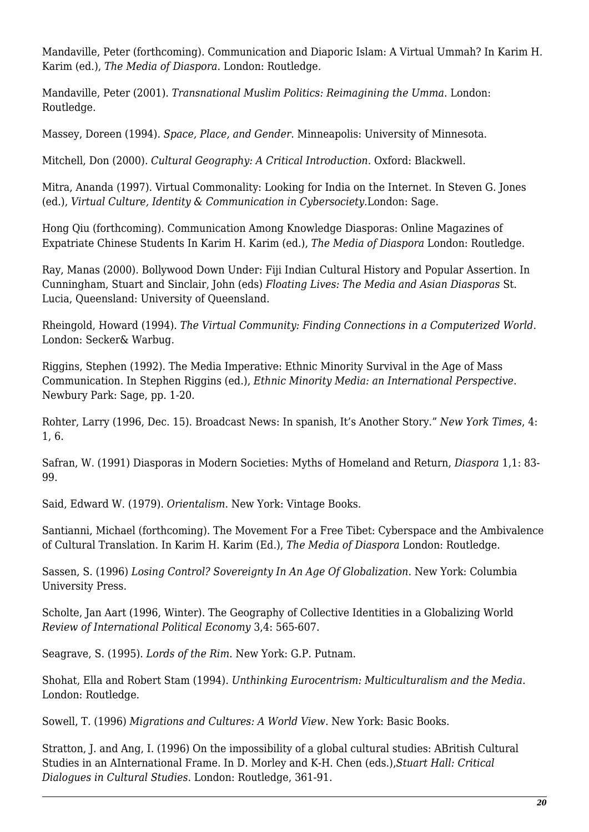Mandaville, Peter (forthcoming). Communication and Diaporic Islam: A Virtual Ummah? In Karim H. Karim (ed.), *The Media of Diaspora*. London: Routledge.

Mandaville, Peter (2001). *Transnational Muslim Politics: Reimagining the Umma*. London: Routledge.

Massey, Doreen (1994). *Space, Place, and Gender*. Minneapolis: University of Minnesota.

Mitchell, Don (2000). *Cultural Geography: A Critical Introduction*. Oxford: Blackwell.

Mitra, Ananda (1997). Virtual Commonality: Looking for India on the Internet. In Steven G. Jones (ed.), *Virtual Culture, Identity & Communication in Cybersociety*.London: Sage.

Hong Qiu (forthcoming). Communication Among Knowledge Diasporas: Online Magazines of Expatriate Chinese Students In Karim H. Karim (ed.), *The Media of Diaspora* London: Routledge.

Ray, Manas (2000). Bollywood Down Under: Fiji Indian Cultural History and Popular Assertion. In Cunningham, Stuart and Sinclair, John (eds) *Floating Lives: The Media and Asian Diasporas* St. Lucia, Queensland: University of Queensland.

Rheingold, Howard (1994). *The Virtual Community: Finding Connections in a Computerized World*. London: Secker& Warbug.

Riggins, Stephen (1992). The Media Imperative: Ethnic Minority Survival in the Age of Mass Communication. In Stephen Riggins (ed.), *Ethnic Minority Media: an International Perspective*. Newbury Park: Sage, pp. 1-20.

Rohter, Larry (1996, Dec. 15). Broadcast News: In spanish, It's Another Story." *New York Times*, 4: 1, 6.

Safran, W. (1991) Diasporas in Modern Societies: Myths of Homeland and Return, *Diaspora* 1,1: 83- 99.

Said, Edward W. (1979). *Orientalism*. New York: Vintage Books.

Santianni, Michael (forthcoming). The Movement For a Free Tibet: Cyberspace and the Ambivalence of Cultural Translation. In Karim H. Karim (Ed.), *The Media of Diaspora* London: Routledge.

Sassen, S. (1996) *Losing Control? Sovereignty In An Age Of Globalization*. New York: Columbia University Press.

Scholte, Jan Aart (1996, Winter). The Geography of Collective Identities in a Globalizing World *Review of International Political Economy* 3,4: 565-607.

Seagrave, S. (1995). *Lords of the Rim*. New York: G.P. Putnam.

Shohat, Ella and Robert Stam (1994). *Unthinking Eurocentrism: Multiculturalism and the Media*. London: Routledge.

Sowell, T. (1996) *Migrations and Cultures: A World View*. New York: Basic Books.

Stratton, J. and Ang, I. (1996) On the impossibility of a global cultural studies: ABritish Cultural Studies in an AInternational Frame. In D. Morley and K-H. Chen (eds.),*Stuart Hall: Critical Dialogues in Cultural Studies*. London: Routledge, 361-91.